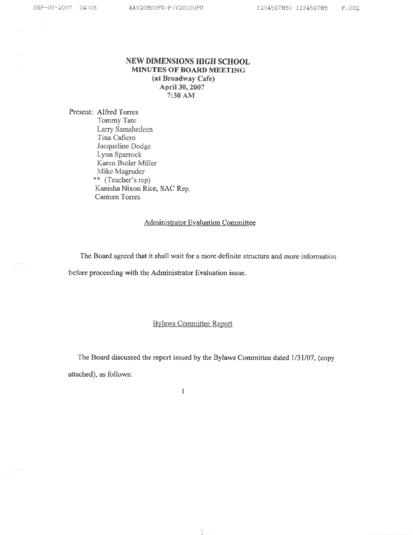### NEW DIMENSIONS HIGH SCHOOL MINUTES OF BOARD MEETING (at Broadway Cafe) April 30, 2007 7:30 AM

Present: Alfred Torres Tommy Tate Larry Samshedeen TinaCafiero Jacqueline Dodge Lynu Sparrock Karen Butler Miller \*\* (Teacher's rep) Kanisha Nixon Rice, SAC Rep. Carmen Torres

### Administrator Evaluation Committee

The Board agreed that it shall wait for a more definite structure and more inforrnation before proceeding with the Administrator Evaluation issue.

# Bylaws Committee Report

The Board discussed the report issued by the Bylaws Committee dated 1/31/07, (copy attached), as follows:

 $\ddot{\phantom{a}}$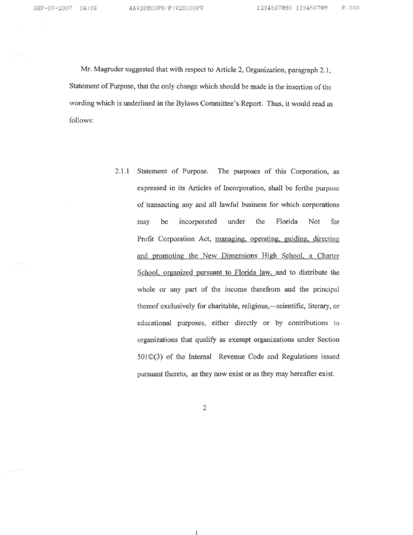Mr. Magruder suggeskd that with respect to Article 2, Organization, paragraph 2.1, Statement of Purpose, that the only change which should be made is the insertion of the wording which is underlined in the Bylaws Committee's Report. Thus, it would read as foliows:

> 2.1.1 Statement of Purpose. The purposes of this Corporation, as expressed in its Articles of Incorporation, shall be forthe purpose of transacting any and all lawful business for which corporations may be incorporated under the Florida Not for Profit Corporation Act, managing, operating, guiding, directing and promoting the New Dimensions High School, a Charter School, organized pursuant to Florida law, and to distribute the whole or any part of the income therefrom and the principal thereof exclusively for charitable, religious,-scientific, literary, or educational purposes, either directly or by eontributions to organizations that qualify as exempt organizations under Section 501@(3) of the Internal Revenue Code and Regulations issued pursuant thereto, as they now exist or as they may hereafter exist.

> > $\overline{c}$

š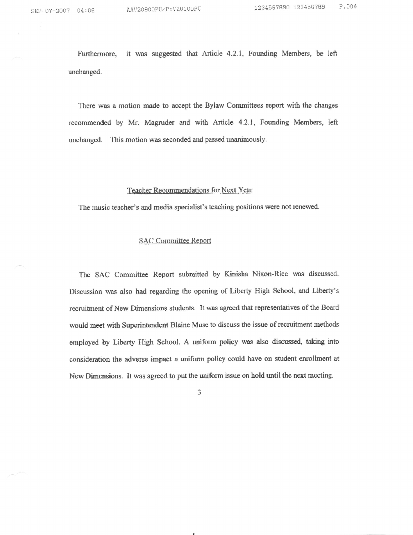Furthermore, it was suggested that Article 4.2.1, Founding Members, be left unchanged.

There was a motion made to accept the Bylaw Committees report with the changes recommended by Mr. Magruder and with Article 4.2.1, Founding Members, left unchanged. This motion was seconded and passed unanimously.

### Teacher Recommendations for Next Year

The music teacher's and media specialist's teaching positions were not renewed.

### SAC Committee Report

The SAC Committee Report submitted by Kinisha Nixon-Rice was discussed. Discussion was also had regarding the opening of Liberty High School, and Liberty's recruifinent of New Dimensions students, It was agreed that representatives of the Board would meet with Superintendent Blaine Muse to discuss the issue of recruitment methods employed by Liberty High School. A uniform policy was also discussed, taking into consideration the adverse impact a uniform policy could have on student enrollment at New Dimensions. It was agreed to put the uniform issue on hold until the next meeting.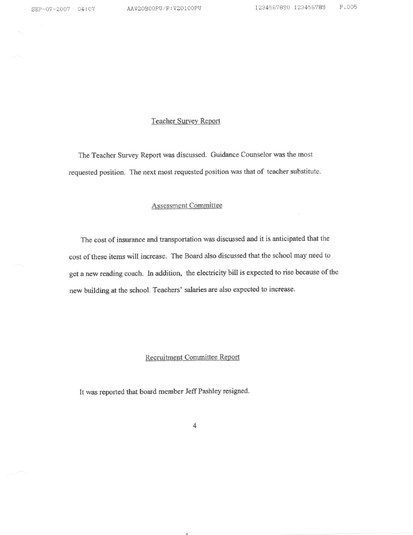## **Teacher Survey Report**

The Teacher Survey Report was discussed. Guidance Counselor was the most requested position. The next most requested position was that of teacher substitute.

## **Assessment Committee**

The cost of insurance and transportation was discussed and it is anticipated that the cost of these items will increase. The Board also discussed that the school may need to get a new reading coach. In addition, the electricity bill is expected to rise because of the new building at the school. Teachers' salaries are also expected to increase.

# Recruitment Committee Report

It was reported that board member Jeff Pashley resigned.

 $\ddot{4}$ 

Á